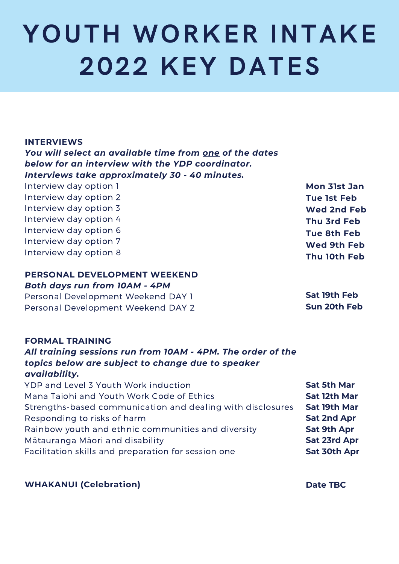# YOUTH WORKER INTAKE 2022 KEY DATES

#### **INTERVIEWS**

*You will select an available time from one of the dates below for an interview with the YDP coordinator. Interviews take approximately 30 - 40 minutes.*

| Interview day option 1 |  |
|------------------------|--|
| Interview day option 2 |  |
| Interview day option 3 |  |
| Interview day option 4 |  |
| Interview day option 6 |  |
| Interview day option 7 |  |
| Interview day option 8 |  |

#### **PERSONAL DEVELOPMENT WEEKEND**

#### *Both days run from 10AM - 4PM*

Personal Development Weekend DAY 1 Personal Development Weekend DAY 2

#### **FORMAL TRAINING**

### *All training sessions run from 10AM - 4PM. The order of the topics below are subject to change due to speaker availability.*

YDP and Level 3 Youth Work induction Mana Taiohi and Youth Work Code of Ethics Strengths-based communication and dealing with disclosures Responding to risks of harm Rainbow youth and ethnic communities and diversity Mātauranga Māori and disability Facilitation skills and preparation for session one **Sat 5th Mar Sat 12th Mar Sat 19th Mar Sat 2nd Apr Sat 9th Apr Sat 23rd Apr Sat 30th Apr**

**WHAKANUI (Celebration)**

**Date TBC**

**Mon 31st Jan Tue 1st Feb Wed 2nd Feb Thu 3rd Feb Tue 8th Feb Wed 9th Feb Thu 10th Feb**

**Sat 19th Feb Sun 20th Feb**